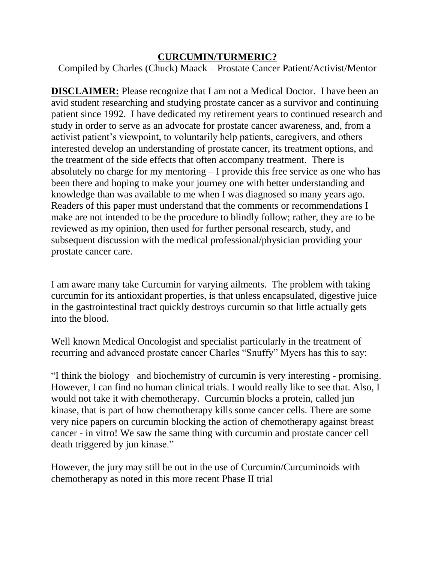#### **CURCUMIN/TURMERIC?**

Compiled by Charles (Chuck) Maack – Prostate Cancer Patient/Activist/Mentor

**DISCLAIMER:** Please recognize that I am not a Medical Doctor. I have been an avid student researching and studying prostate cancer as a survivor and continuing patient since 1992. I have dedicated my retirement years to continued research and study in order to serve as an advocate for prostate cancer awareness, and, from a activist patient's viewpoint, to voluntarily help patients, caregivers, and others interested develop an understanding of prostate cancer, its treatment options, and the treatment of the side effects that often accompany treatment. There is absolutely no charge for my mentoring – I provide this free service as one who has been there and hoping to make your journey one with better understanding and knowledge than was available to me when I was diagnosed so many years ago. Readers of this paper must understand that the comments or recommendations I make are not intended to be the procedure to blindly follow; rather, they are to be reviewed as my opinion, then used for further personal research, study, and subsequent discussion with the medical professional/physician providing your prostate cancer care.

I am aware many take Curcumin for varying ailments. The problem with taking curcumin for its antioxidant properties, is that unless encapsulated, digestive juice in the gastrointestinal tract quickly destroys curcumin so that little actually gets into the blood.

Well known Medical Oncologist and specialist particularly in the treatment of recurring and advanced prostate cancer Charles "Snuffy" Myers has this to say:

"I think the biology and biochemistry of curcumin is very interesting - promising. However, I can find no human clinical trials. I would really like to see that. Also, I would not take it with chemotherapy. Curcumin blocks a protein, called jun kinase, that is part of how chemotherapy kills some cancer cells. There are some very nice papers on curcumin blocking the action of chemotherapy against breast cancer - in vitro! We saw the same thing with curcumin and prostate cancer cell death triggered by jun kinase."

However, the jury may still be out in the use of Curcumin/Curcuminoids with chemotherapy as noted in this more recent Phase II trial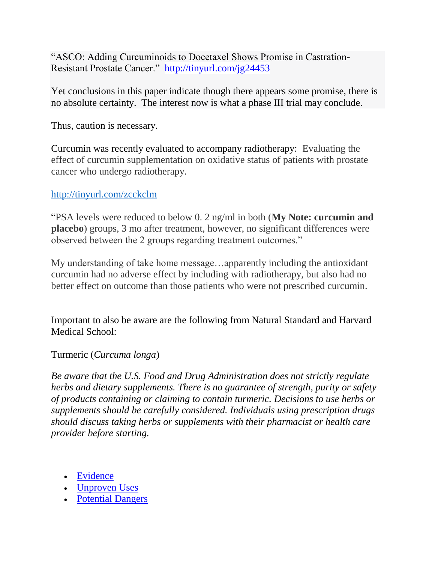"ASCO: Adding Curcuminoids to Docetaxel Shows Promise in Castration-Resistant Prostate Cancer." <http://tinyurl.com/jg24453>

Yet conclusions in this paper indicate though there appears some promise, there is no absolute certainty. The interest now is what a phase III trial may conclude.

Thus, caution is necessary.

Curcumin was recently evaluated to accompany radiotherapy: Evaluating the effect of curcumin supplementation on oxidative status of patients with prostate cancer who undergo radiotherapy.

# <http://tinyurl.com/zcckclm>

"PSA levels were reduced to below 0. 2 ng/ml in both (**My Note: curcumin and placebo**) groups, 3 mo after treatment, however, no significant differences were observed between the 2 groups regarding treatment outcomes."

My understanding of take home message…apparently including the antioxidant curcumin had no adverse effect by including with radiotherapy, but also had no better effect on outcome than those patients who were not prescribed curcumin.

Important to also be aware are the following from Natural Standard and Harvard Medical School:

Turmeric (*Curcuma longa*)

*Be aware that the U.S. Food and Drug Administration does not strictly regulate herbs and dietary supplements. There is no guarantee of strength, purity or safety of products containing or claiming to contain turmeric. Decisions to use herbs or supplements should be carefully considered. Individuals using prescription drugs should discuss taking herbs or supplements with their pharmacist or health care provider before starting.*

- [Evidence](http://www.intelihealth.com/IH/ihtIH/WSIHW000/8513/31402/348510.html?d=dmtContent#evidence)
- [Unproven Uses](http://www.intelihealth.com/IH/ihtIH/WSIHW000/8513/31402/348510.html?d=dmtContent#uses)
- [Potential Dangers](http://www.intelihealth.com/IH/ihtIH/WSIHW000/8513/31402/348510.html?d=dmtContent#dangers)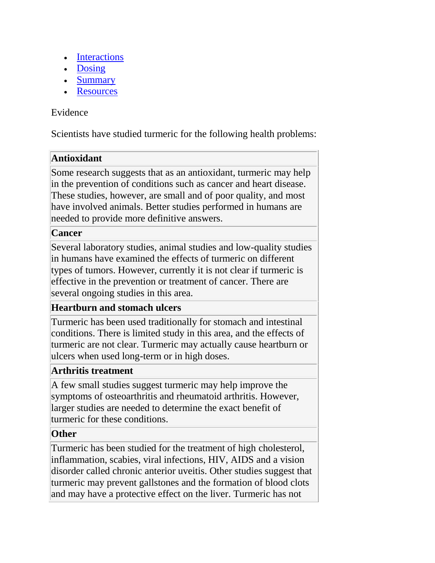- [Interactions](http://www.intelihealth.com/IH/ihtIH/WSIHW000/8513/31402/348510.html?d=dmtContent#interactions)
- [Dosing](http://www.intelihealth.com/IH/ihtIH/WSIHW000/8513/31402/348510.html?d=dmtContent#dosing)
- [Summary](http://www.intelihealth.com/IH/ihtIH/WSIHW000/8513/31402/348510.html?d=dmtContent#summary)
- [Resources](http://www.intelihealth.com/IH/ihtIH/WSIHW000/8513/31402/348510.html?d=dmtContent#resources)

## Evidence

Scientists have studied turmeric for the following health problems:

# **Antioxidant**

Some research suggests that as an antioxidant, turmeric may help in the prevention of conditions such as cancer and heart disease. These studies, however, are small and of poor quality, and most have involved animals. Better studies performed in humans are needed to provide more definitive answers.

#### **Cancer**

Several laboratory studies, animal studies and low-quality studies in humans have examined the effects of turmeric on different types of tumors. However, currently it is not clear if turmeric is effective in the prevention or treatment of cancer. There are several ongoing studies in this area.

## **Heartburn and stomach ulcers**

Turmeric has been used traditionally for stomach and intestinal conditions. There is limited study in this area, and the effects of turmeric are not clear. Turmeric may actually cause heartburn or ulcers when used long-term or in high doses.

## **Arthritis treatment**

A few small studies suggest turmeric may help improve the symptoms of osteoarthritis and rheumatoid arthritis. However, larger studies are needed to determine the exact benefit of turmeric for these conditions.

## **Other**

Turmeric has been studied for the treatment of high cholesterol, inflammation, scabies, viral infections, HIV, AIDS and a vision disorder called chronic anterior uveitis. Other studies suggest that turmeric may prevent gallstones and the formation of blood clots and may have a protective effect on the liver. Turmeric has not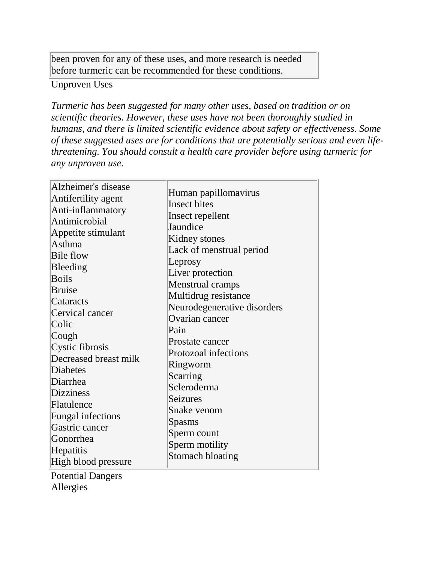been proven for any of these uses, and more research is needed before turmeric can be recommended for these conditions.

#### Unproven Uses

*Turmeric has been suggested for many other uses, based on tradition or on scientific theories. However, these uses have not been thoroughly studied in humans, and there is limited scientific evidence about safety or effectiveness. Some of these suggested uses are for conditions that are potentially serious and even lifethreatening. You should consult a health care provider before using turmeric for any unproven use.*

| Alzheimer's disease<br>Antifertility agent<br>Anti-inflammatory<br>Antimicrobial<br>Appetite stimulant<br>Asthma<br><b>Bile flow</b><br>Bleeding<br><b>Boils</b><br><b>Bruise</b><br>Cataracts<br>Cervical cancer<br>Colic<br>Cough<br>Cystic fibrosis<br>Decreased breast milk<br>Diabetes<br>Diarrhea<br><b>Dizziness</b><br>Flatulence<br>Fungal infections<br>Gastric cancer<br>Gonorrhea<br>Hepatitis<br>High blood pressure<br><b>Potential Dangers</b> | Human papillomavirus<br><b>Insect bites</b><br>Insect repellent<br>Jaundice<br>Kidney stones<br>Lack of menstrual period<br>Leprosy<br>Liver protection<br><b>Menstrual cramps</b><br>Multidrug resistance<br>Neurodegenerative disorders<br>Ovarian cancer<br>Pain<br>Prostate cancer<br>Protozoal infections<br>Ringworm<br>Scarring<br>Scleroderma<br><b>Seizures</b><br>Snake venom<br>Spasms<br>Sperm count<br>Sperm motility<br><b>Stomach bloating</b> |
|---------------------------------------------------------------------------------------------------------------------------------------------------------------------------------------------------------------------------------------------------------------------------------------------------------------------------------------------------------------------------------------------------------------------------------------------------------------|---------------------------------------------------------------------------------------------------------------------------------------------------------------------------------------------------------------------------------------------------------------------------------------------------------------------------------------------------------------------------------------------------------------------------------------------------------------|
|                                                                                                                                                                                                                                                                                                                                                                                                                                                               |                                                                                                                                                                                                                                                                                                                                                                                                                                                               |

Allergies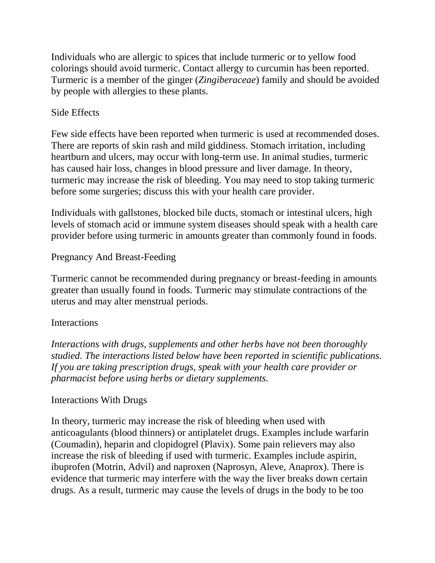Individuals who are allergic to spices that include turmeric or to yellow food colorings should avoid turmeric. Contact allergy to curcumin has been reported. Turmeric is a member of the ginger (*Zingiberaceae*) family and should be avoided by people with allergies to these plants.

# Side Effects

Few side effects have been reported when turmeric is used at recommended doses. There are reports of skin rash and mild giddiness. Stomach irritation, including heartburn and ulcers, may occur with long-term use. In animal studies, turmeric has caused hair loss, changes in blood pressure and liver damage. In theory, turmeric may increase the risk of bleeding. You may need to stop taking turmeric before some surgeries; discuss this with your health care provider.

Individuals with gallstones, blocked bile ducts, stomach or intestinal ulcers, high levels of stomach acid or immune system diseases should speak with a health care provider before using turmeric in amounts greater than commonly found in foods.

# Pregnancy And Breast-Feeding

Turmeric cannot be recommended during pregnancy or breast-feeding in amounts greater than usually found in foods. Turmeric may stimulate contractions of the uterus and may alter menstrual periods.

## **Interactions**

*Interactions with drugs, supplements and other herbs have not been thoroughly studied. The interactions listed below have been reported in scientific publications. If you are taking prescription drugs, speak with your health care provider or pharmacist before using herbs or dietary supplements.*

## Interactions With Drugs

In theory, turmeric may increase the risk of bleeding when used with anticoagulants (blood thinners) or antiplatelet drugs. Examples include warfarin (Coumadin), heparin and clopidogrel (Plavix). Some pain relievers may also increase the risk of bleeding if used with turmeric. Examples include aspirin, ibuprofen (Motrin, Advil) and naproxen (Naprosyn, Aleve, Anaprox). There is evidence that turmeric may interfere with the way the liver breaks down certain drugs. As a result, turmeric may cause the levels of drugs in the body to be too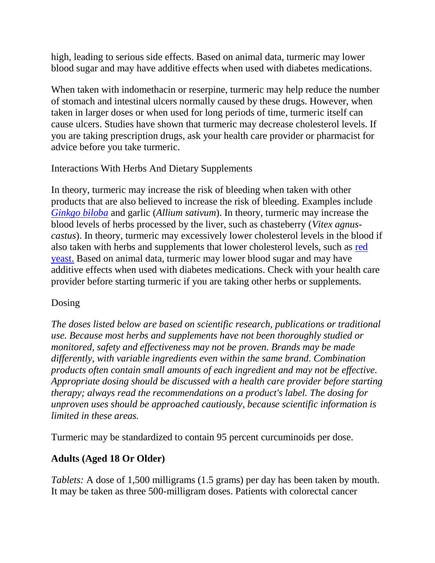high, leading to serious side effects. Based on animal data, turmeric may lower blood sugar and may have additive effects when used with diabetes medications.

When taken with indomethacin or reserpine, turmeric may help reduce the number of stomach and intestinal ulcers normally caused by these drugs. However, when taken in larger doses or when used for long periods of time, turmeric itself can cause ulcers. Studies have shown that turmeric may decrease cholesterol levels. If you are taking prescription drugs, ask your health care provider or pharmacist for advice before you take turmeric.

#### Interactions With Herbs And Dietary Supplements

In theory, turmeric may increase the risk of bleeding when taken with other products that are also believed to increase the risk of bleeding. Examples include *[Ginkgo biloba](http://www.intelihealth.com/IH/ihtIH/WSIHW000/8513/31402/347015.html?d=dmtContent)* and garlic (*Allium sativum*). In theory, turmeric may increase the blood levels of herbs processed by the liver, such as chasteberry (*Vitex agnuscastus*). In theory, turmeric may excessively lower cholesterol levels in the blood if also taken with herbs and supplements that lower cholesterol levels, such as [red](http://www.intelihealth.com/IH/ihtIH/WSIHW000/8513/31402/346470.html?d=dmtContent)  [yeast.](http://www.intelihealth.com/IH/ihtIH/WSIHW000/8513/31402/346470.html?d=dmtContent) Based on animal data, turmeric may lower blood sugar and may have additive effects when used with diabetes medications. Check with your health care provider before starting turmeric if you are taking other herbs or supplements.

## Dosing

*The doses listed below are based on scientific research, publications or traditional use. Because most herbs and supplements have not been thoroughly studied or monitored, safety and effectiveness may not be proven. Brands may be made differently, with variable ingredients even within the same brand. Combination products often contain small amounts of each ingredient and may not be effective. Appropriate dosing should be discussed with a health care provider before starting therapy; always read the recommendations on a product's label. The dosing for unproven uses should be approached cautiously, because scientific information is limited in these areas.*

Turmeric may be standardized to contain 95 percent curcuminoids per dose.

# **Adults (Aged 18 Or Older)**

*Tablets:* A dose of 1,500 milligrams (1.5 grams) per day has been taken by mouth. It may be taken as three 500-milligram doses. Patients with colorectal cancer